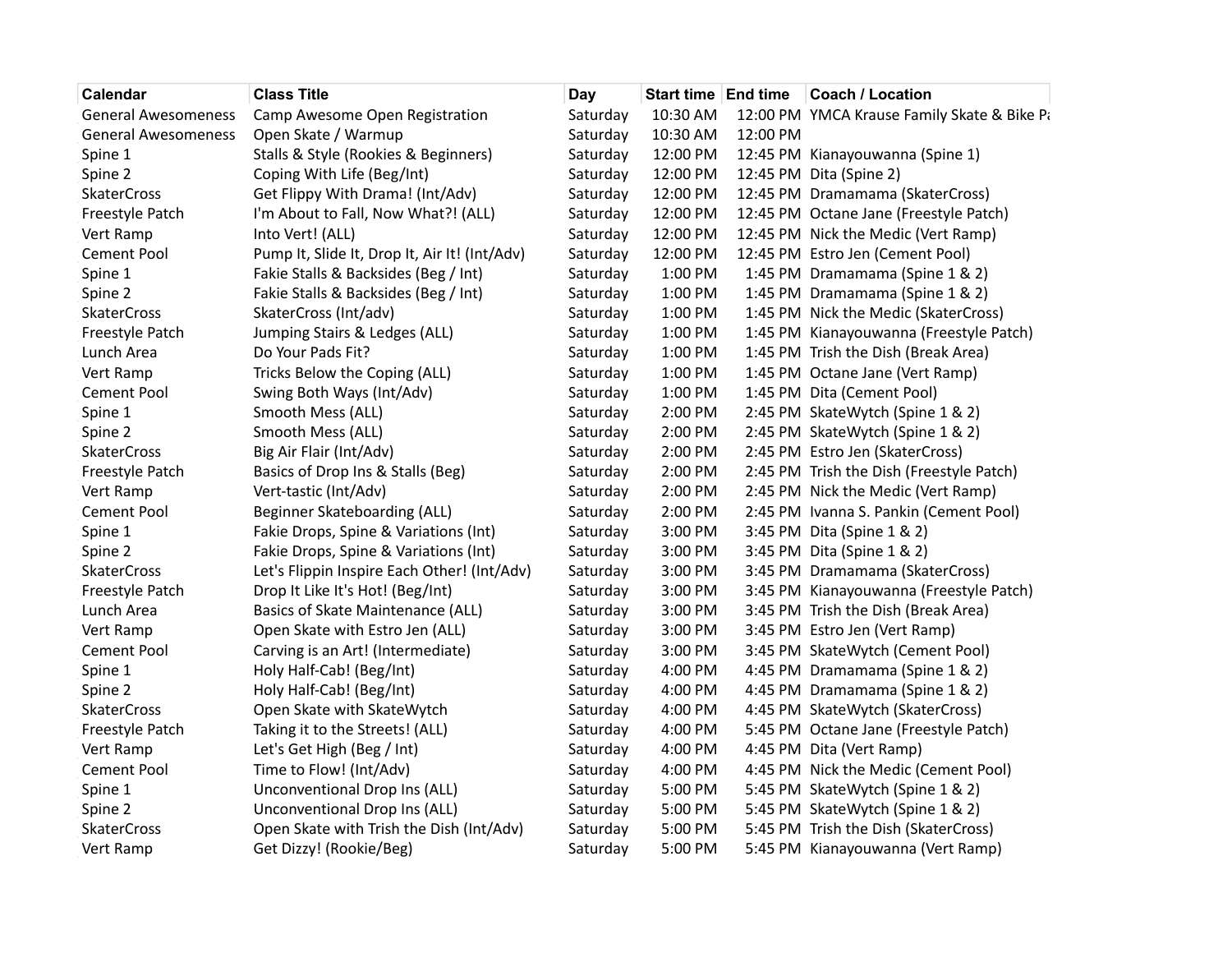| Calendar                   | <b>Class Title</b>                            | Day      |          |          | Start time   End time   Coach / Location    |
|----------------------------|-----------------------------------------------|----------|----------|----------|---------------------------------------------|
| <b>General Awesomeness</b> | Camp Awesome Open Registration                | Saturday | 10:30 AM |          | 12:00 PM YMCA Krause Family Skate & Bike Pa |
| <b>General Awesomeness</b> | Open Skate / Warmup                           | Saturday | 10:30 AM | 12:00 PM |                                             |
| Spine 1                    | Stalls & Style (Rookies & Beginners)          | Saturday | 12:00 PM |          | 12:45 PM Kianayouwanna (Spine 1)            |
| Spine 2                    | Coping With Life (Beg/Int)                    | Saturday | 12:00 PM |          | 12:45 PM Dita (Spine 2)                     |
| <b>SkaterCross</b>         | Get Flippy With Drama! (Int/Adv)              | Saturday | 12:00 PM |          | 12:45 PM Dramamama (SkaterCross)            |
| Freestyle Patch            | I'm About to Fall, Now What?! (ALL)           | Saturday | 12:00 PM |          | 12:45 PM Octane Jane (Freestyle Patch)      |
| Vert Ramp                  | Into Vert! (ALL)                              | Saturday | 12:00 PM |          | 12:45 PM Nick the Medic (Vert Ramp)         |
| Cement Pool                | Pump It, Slide It, Drop It, Air It! (Int/Adv) | Saturday | 12:00 PM |          | 12:45 PM Estro Jen (Cement Pool)            |
| Spine 1                    | Fakie Stalls & Backsides (Beg / Int)          | Saturday | 1:00 PM  |          | 1:45 PM Dramamama (Spine 1 & 2)             |
| Spine 2                    | Fakie Stalls & Backsides (Beg / Int)          | Saturday | 1:00 PM  |          | 1:45 PM Dramamama (Spine 1 & 2)             |
| <b>SkaterCross</b>         | SkaterCross (Int/adv)                         | Saturday | 1:00 PM  |          | 1:45 PM Nick the Medic (SkaterCross)        |
| Freestyle Patch            | Jumping Stairs & Ledges (ALL)                 | Saturday | 1:00 PM  |          | 1:45 PM Kianayouwanna (Freestyle Patch)     |
| Lunch Area                 | Do Your Pads Fit?                             | Saturday | 1:00 PM  |          | 1:45 PM Trish the Dish (Break Area)         |
| Vert Ramp                  | Tricks Below the Coping (ALL)                 | Saturday | 1:00 PM  |          | 1:45 PM Octane Jane (Vert Ramp)             |
| Cement Pool                | Swing Both Ways (Int/Adv)                     | Saturday | 1:00 PM  |          | 1:45 PM Dita (Cement Pool)                  |
| Spine 1                    | Smooth Mess (ALL)                             | Saturday | 2:00 PM  |          | 2:45 PM SkateWytch (Spine 1 & 2)            |
| Spine 2                    | Smooth Mess (ALL)                             | Saturday | 2:00 PM  |          | 2:45 PM SkateWytch (Spine 1 & 2)            |
| <b>SkaterCross</b>         | Big Air Flair (Int/Adv)                       | Saturday | 2:00 PM  |          | 2:45 PM Estro Jen (SkaterCross)             |
| Freestyle Patch            | Basics of Drop Ins & Stalls (Beg)             | Saturday | 2:00 PM  |          | 2:45 PM Trish the Dish (Freestyle Patch)    |
| Vert Ramp                  | Vert-tastic (Int/Adv)                         | Saturday | 2:00 PM  |          | 2:45 PM Nick the Medic (Vert Ramp)          |
| Cement Pool                | Beginner Skateboarding (ALL)                  | Saturday | 2:00 PM  |          | 2:45 PM Ivanna S. Pankin (Cement Pool)      |
| Spine 1                    | Fakie Drops, Spine & Variations (Int)         | Saturday | 3:00 PM  |          | 3:45 PM Dita (Spine 1 & 2)                  |
| Spine 2                    | Fakie Drops, Spine & Variations (Int)         | Saturday | 3:00 PM  |          | 3:45 PM Dita (Spine 1 & 2)                  |
| <b>SkaterCross</b>         | Let's Flippin Inspire Each Other! (Int/Adv)   | Saturday | 3:00 PM  |          | 3:45 PM Dramamama (SkaterCross)             |
| Freestyle Patch            | Drop It Like It's Hot! (Beg/Int)              | Saturday | 3:00 PM  |          | 3:45 PM Kianayouwanna (Freestyle Patch)     |
| Lunch Area                 | Basics of Skate Maintenance (ALL)             | Saturday | 3:00 PM  |          | 3:45 PM Trish the Dish (Break Area)         |
| Vert Ramp                  | Open Skate with Estro Jen (ALL)               | Saturday | 3:00 PM  |          | 3:45 PM Estro Jen (Vert Ramp)               |
| Cement Pool                | Carving is an Art! (Intermediate)             | Saturday | 3:00 PM  |          | 3:45 PM SkateWytch (Cement Pool)            |
| Spine 1                    | Holy Half-Cab! (Beg/Int)                      | Saturday | 4:00 PM  |          | 4:45 PM Dramamama (Spine 1 & 2)             |
| Spine 2                    | Holy Half-Cab! (Beg/Int)                      | Saturday | 4:00 PM  |          | 4:45 PM Dramamama (Spine 1 & 2)             |
| <b>SkaterCross</b>         | Open Skate with SkateWytch                    | Saturday | 4:00 PM  |          | 4:45 PM SkateWytch (SkaterCross)            |
| Freestyle Patch            | Taking it to the Streets! (ALL)               | Saturday | 4:00 PM  |          | 5:45 PM Octane Jane (Freestyle Patch)       |
| Vert Ramp                  | Let's Get High (Beg / Int)                    | Saturday | 4:00 PM  |          | 4:45 PM Dita (Vert Ramp)                    |
| Cement Pool                | Time to Flow! (Int/Adv)                       | Saturday | 4:00 PM  |          | 4:45 PM Nick the Medic (Cement Pool)        |
| Spine 1                    | Unconventional Drop Ins (ALL)                 | Saturday | 5:00 PM  |          | 5:45 PM SkateWytch (Spine 1 & 2)            |
| Spine 2                    | Unconventional Drop Ins (ALL)                 | Saturday | 5:00 PM  |          | 5:45 PM SkateWytch (Spine 1 & 2)            |
| <b>SkaterCross</b>         | Open Skate with Trish the Dish (Int/Adv)      | Saturday | 5:00 PM  |          | 5:45 PM Trish the Dish (SkaterCross)        |
| Vert Ramp                  | Get Dizzy! (Rookie/Beg)                       | Saturday | 5:00 PM  |          | 5:45 PM Kianayouwanna (Vert Ramp)           |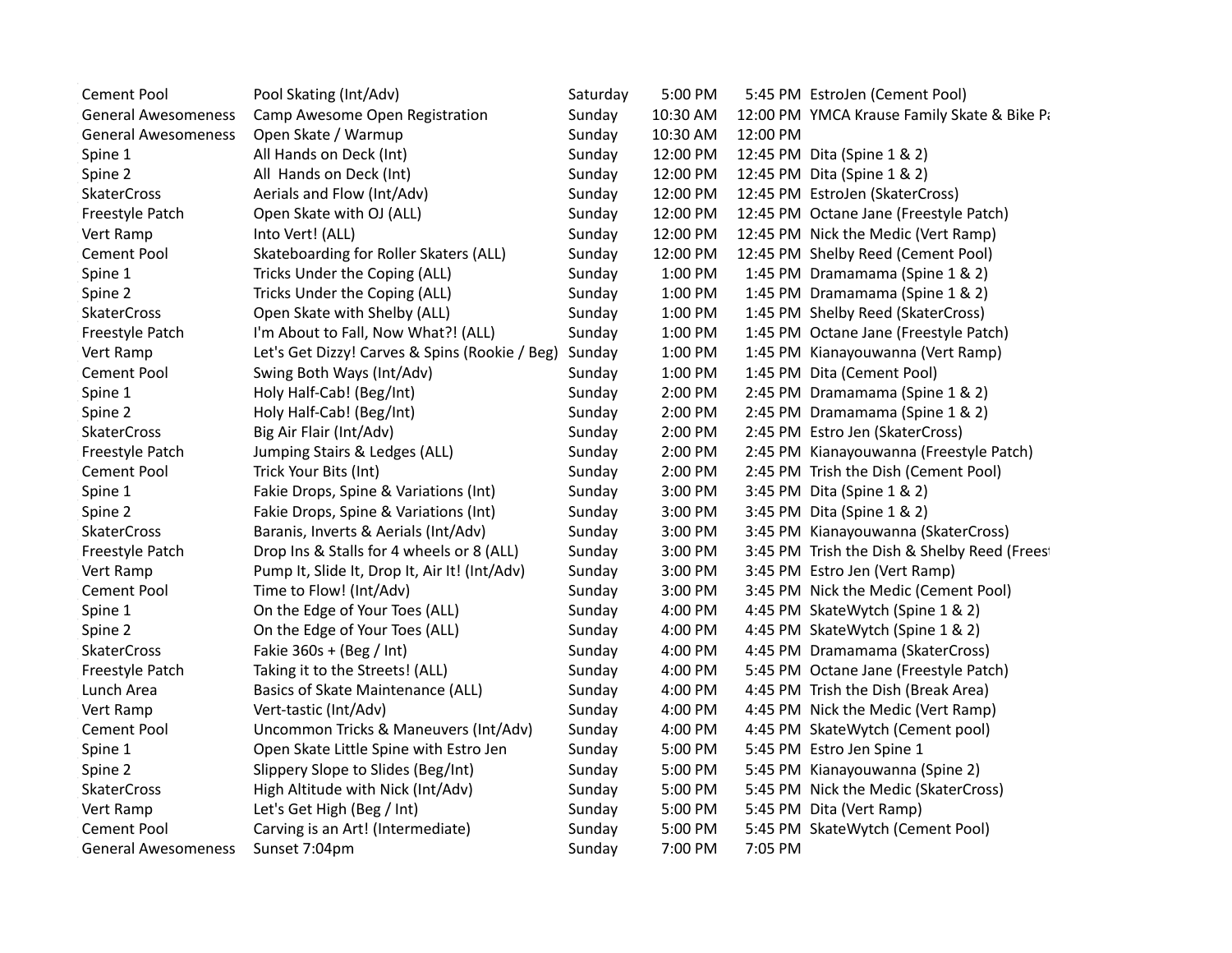| <b>Cement Pool</b>         | Pool Skating (Int/Adv)                         | Saturday | 5:00 PM  |          | 5:45 PM EstroJen (Cement Pool)               |
|----------------------------|------------------------------------------------|----------|----------|----------|----------------------------------------------|
| <b>General Awesomeness</b> | Camp Awesome Open Registration                 | Sunday   | 10:30 AM |          | 12:00 PM YMCA Krause Family Skate & Bike Pa  |
| <b>General Awesomeness</b> | Open Skate / Warmup                            | Sunday   | 10:30 AM | 12:00 PM |                                              |
| Spine 1                    | All Hands on Deck (Int)                        | Sunday   | 12:00 PM |          | 12:45 PM Dita (Spine 1 & 2)                  |
| Spine 2                    | All Hands on Deck (Int)                        | Sunday   | 12:00 PM |          | 12:45 PM Dita (Spine 1 & 2)                  |
| <b>SkaterCross</b>         | Aerials and Flow (Int/Adv)                     | Sunday   | 12:00 PM |          | 12:45 PM EstroJen (SkaterCross)              |
| Freestyle Patch            | Open Skate with OJ (ALL)                       | Sunday   | 12:00 PM |          | 12:45 PM Octane Jane (Freestyle Patch)       |
| Vert Ramp                  | Into Vert! (ALL)                               | Sunday   | 12:00 PM |          | 12:45 PM Nick the Medic (Vert Ramp)          |
| <b>Cement Pool</b>         | Skateboarding for Roller Skaters (ALL)         | Sunday   | 12:00 PM |          | 12:45 PM Shelby Reed (Cement Pool)           |
| Spine 1                    | Tricks Under the Coping (ALL)                  | Sunday   | 1:00 PM  |          | 1:45 PM Dramamama (Spine 1 & 2)              |
| Spine 2                    | Tricks Under the Coping (ALL)                  | Sunday   | 1:00 PM  |          | 1:45 PM Dramamama (Spine 1 & 2)              |
| <b>SkaterCross</b>         | Open Skate with Shelby (ALL)                   | Sunday   | 1:00 PM  |          | 1:45 PM Shelby Reed (SkaterCross)            |
| Freestyle Patch            | I'm About to Fall, Now What?! (ALL)            | Sunday   | 1:00 PM  |          | 1:45 PM Octane Jane (Freestyle Patch)        |
| Vert Ramp                  | Let's Get Dizzy! Carves & Spins (Rookie / Beg) | Sunday   | 1:00 PM  |          | 1:45 PM Kianayouwanna (Vert Ramp)            |
| Cement Pool                | Swing Both Ways (Int/Adv)                      | Sunday   | 1:00 PM  |          | 1:45 PM Dita (Cement Pool)                   |
| Spine 1                    | Holy Half-Cab! (Beg/Int)                       | Sunday   | 2:00 PM  |          | 2:45 PM Dramamama (Spine 1 & 2)              |
| Spine 2                    | Holy Half-Cab! (Beg/Int)                       | Sunday   | 2:00 PM  |          | 2:45 PM Dramamama (Spine 1 & 2)              |
| <b>SkaterCross</b>         | Big Air Flair (Int/Adv)                        | Sunday   | 2:00 PM  |          | 2:45 PM Estro Jen (SkaterCross)              |
| Freestyle Patch            | Jumping Stairs & Ledges (ALL)                  | Sunday   | 2:00 PM  |          | 2:45 PM Kianayouwanna (Freestyle Patch)      |
| <b>Cement Pool</b>         | Trick Your Bits (Int)                          | Sunday   | 2:00 PM  |          | 2:45 PM Trish the Dish (Cement Pool)         |
| Spine 1                    | Fakie Drops, Spine & Variations (Int)          | Sunday   | 3:00 PM  |          | 3:45 PM Dita (Spine 1 & 2)                   |
| Spine 2                    | Fakie Drops, Spine & Variations (Int)          | Sunday   | 3:00 PM  |          | 3:45 PM Dita (Spine 1 & 2)                   |
| <b>SkaterCross</b>         | Baranis, Inverts & Aerials (Int/Adv)           | Sunday   | 3:00 PM  |          | 3:45 PM Kianayouwanna (SkaterCross)          |
| Freestyle Patch            | Drop Ins & Stalls for 4 wheels or 8 (ALL)      | Sunday   | 3:00 PM  |          | 3:45 PM Trish the Dish & Shelby Reed (Freest |
| Vert Ramp                  | Pump It, Slide It, Drop It, Air It! (Int/Adv)  | Sunday   | 3:00 PM  |          | 3:45 PM Estro Jen (Vert Ramp)                |
| <b>Cement Pool</b>         | Time to Flow! (Int/Adv)                        | Sunday   | 3:00 PM  |          | 3:45 PM Nick the Medic (Cement Pool)         |
| Spine 1                    | On the Edge of Your Toes (ALL)                 | Sunday   | 4:00 PM  |          | 4:45 PM SkateWytch (Spine 1 & 2)             |
| Spine 2                    | On the Edge of Your Toes (ALL)                 | Sunday   | 4:00 PM  |          | 4:45 PM SkateWytch (Spine 1 & 2)             |
| <b>SkaterCross</b>         | Fakie $360s + (Beg / Int)$                     | Sunday   | 4:00 PM  |          | 4:45 PM Dramamama (SkaterCross)              |
| Freestyle Patch            | Taking it to the Streets! (ALL)                | Sunday   | 4:00 PM  |          | 5:45 PM Octane Jane (Freestyle Patch)        |
| Lunch Area                 | Basics of Skate Maintenance (ALL)              | Sunday   | 4:00 PM  |          | 4:45 PM Trish the Dish (Break Area)          |
| Vert Ramp                  | Vert-tastic (Int/Adv)                          | Sunday   | 4:00 PM  |          | 4:45 PM Nick the Medic (Vert Ramp)           |
| Cement Pool                | Uncommon Tricks & Maneuvers (Int/Adv)          | Sunday   | 4:00 PM  |          | 4:45 PM SkateWytch (Cement pool)             |
| Spine 1                    | Open Skate Little Spine with Estro Jen         | Sunday   | 5:00 PM  |          | 5:45 PM Estro Jen Spine 1                    |
| Spine 2                    | Slippery Slope to Slides (Beg/Int)             | Sunday   | 5:00 PM  |          | 5:45 PM Kianayouwanna (Spine 2)              |
| <b>SkaterCross</b>         | High Altitude with Nick (Int/Adv)              | Sunday   | 5:00 PM  |          | 5:45 PM Nick the Medic (SkaterCross)         |
| Vert Ramp                  | Let's Get High (Beg / Int)                     | Sunday   | 5:00 PM  |          | 5:45 PM Dita (Vert Ramp)                     |
| <b>Cement Pool</b>         | Carving is an Art! (Intermediate)              | Sunday   | 5:00 PM  |          | 5:45 PM SkateWytch (Cement Pool)             |
| General Awesomeness        | Sunset 7:04pm                                  | Sunday   | 7:00 PM  | 7:05 PM  |                                              |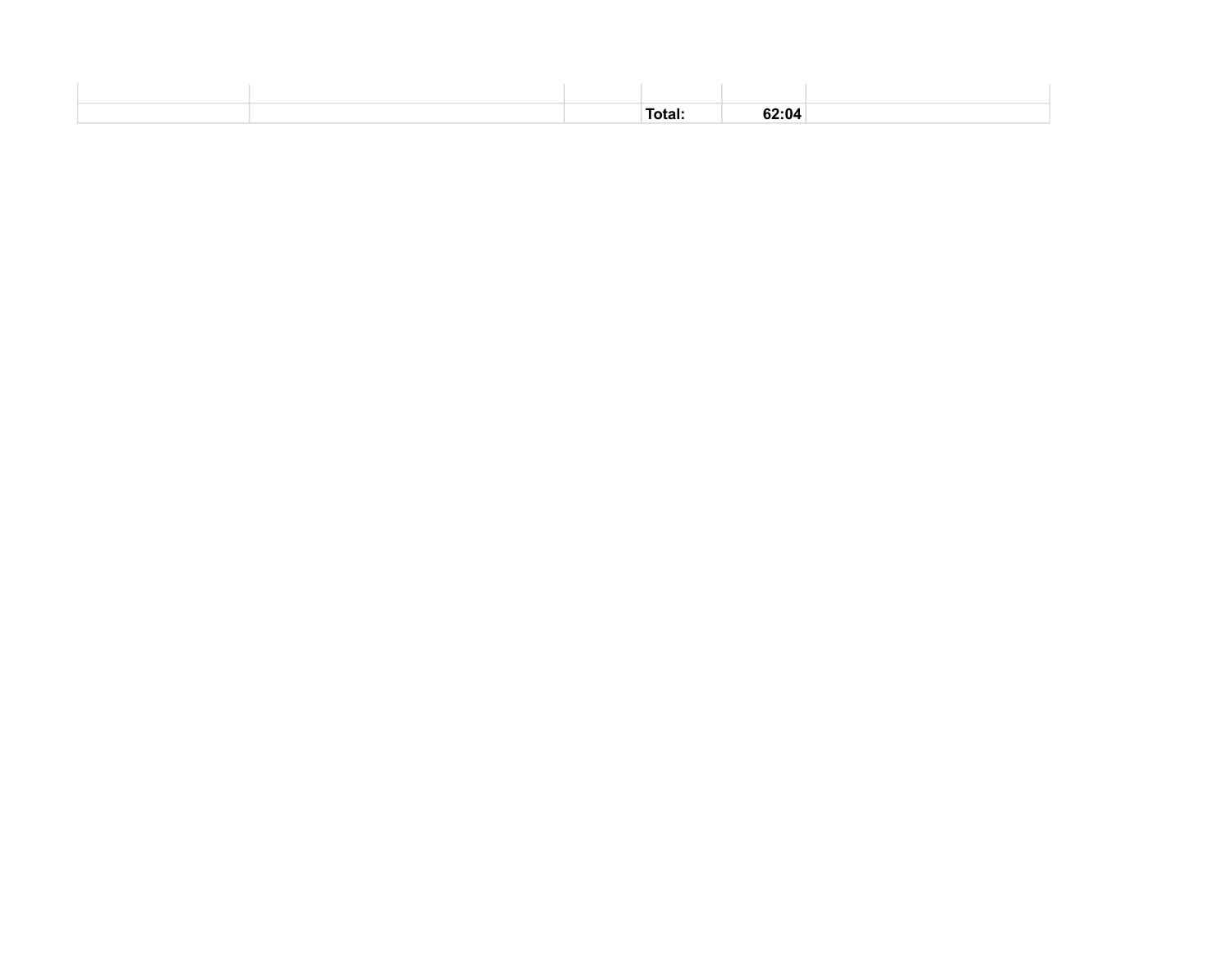|  | Total: | 62:04 |  |
|--|--------|-------|--|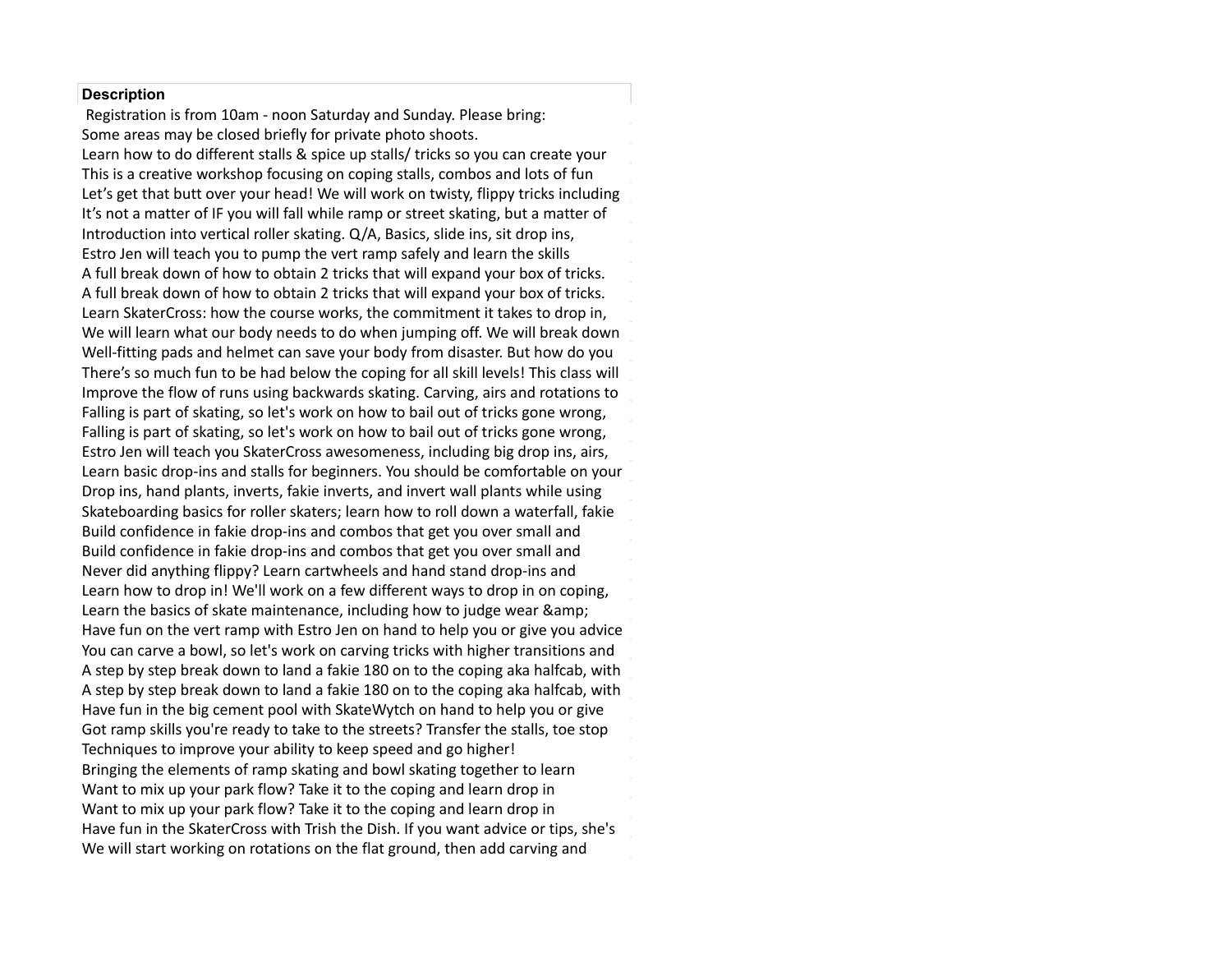## **Description**

 Registration is from 10am - noon Saturday and Sunday. Please bring: Some areas may be closed briefly for private photo shoots. Learn how to do different stalls & spice up stalls/ tricks so you can create your This is a creative workshop focusing on coping stalls, combos and lots of fun Let's get that butt over your head! We will work on twisty, flippy tricks including It's not a matter of IF you will fall while ramp or street skating, but a matter of Introduction into vertical roller skating. Q/A, Basics, slide ins, sit drop ins, Estro Jen will teach you to pump the vert ramp safely and learn the skills A full break down of how to obtain 2 tricks that will expand your box of tricks. A full break down of how to obtain 2 tricks that will expand your box of tricks. Learn SkaterCross: how the course works, the commitment it takes to drop in, We will learn what our body needs to do when jumping off. We will break down Well-fitting pads and helmet can save your body from disaster. But how do you There's so much fun to be had below the coping for all skill levels! This class will Awesome. All attendees must show a CDC vaccination card or QR enabled for 5 years with handstands and grinds as favorite tricks. Named a CIB Skater of Big Foot Bike and Skate, and Moxi Roller Skates. He's constantly inspired by this has been teaching and developing ramp skating skills online & at events Falling is part of skating, so let's work on how to bail out of tricks gone wrong,<br>Falling is a state of the state of the state of the state of the state of the state of the state of the state o results taken no and than 48 hours of the monetage rapid and the second test rapid and the second and the second<br>Estimates will test because ClasterCoses records and an acceleration bin doesn't an aim  $f(x)$  for the case that  $f(x)$  is a conference to  $f(x)$  and  $f(x)$  and  $f(x)$  are  $f(x)$  and  $f(x)$  are  $f(x)$  and  $f(x)$  are  $f(x)$  and  $f(x)$  are  $f(x)$  and  $f(x)$  are  $f(x)$  and  $f(x)$  are  $f(x)$  and  $f(x)$  are  $f(x)$  and  $f(x)$  are  $f$ Learn basic drop his and stans for beginners. Tod should be comfortable or they may name plants, meet to, lake meet to, and meet wan plants wille daily.<br>Skatoboording bosies for roller skators loorn bout o roll down a waterfall, fokie Shareboarding basics for folier sharefs, fearm from to foll down a waterfail, fame.<br>Build confidence in fakie dron inclond combect het get vou over small and park comparison in take are plint and compositive get you over small and park. results of vacance in the card of the card complete the got you over amended.<br>Nover did anything flinny? Loarn cartwhools and hand stand dron, ins and based on March recommendations from the CDC and the CDC computer and common the CDC, state and common  $\alpha$ sense.<br>Learn the basics of skate maintenance inclu Falling is part of skating, so let's work on how to bail out of tricks gone wrong,<br>Falling is part of skating, so let's work on how to bail out of tricks gone wrong, Estro Jen will teach you SkaterCross awesomeness, including big drop ins, airs, Learn basic drop-ins and stalls for beginners. You should be comfortable on your Drop ins, hand plants, inverts, fakie inverts, and invert wall plants while using There's so much fun to be had below the coping for all skill levels! This class will<br>Improve the flow of runs using backwards skating. Carving, airs and rotations to<br>Falling is part of skating, so let's work on how to bail Improve the flow of runs using backwards skating. Carving, airs and rotations to Skateboarding basics for roller skaters; learn how to roll down a waterfall, fakie Build confidence in fakie drop-ins and combos that get you over small and Build confidence in fakie drop-ins and combos that get you over small and Never did anything flippy? Learn cartwheels and hand stand drop-ins and Learn how to drop in! We'll work on a few different ways to drop in on coping, Learn the basics of skate maintenance, including how to judge wear &<br>... Have fun on the vert ramp with Estro Jen on hand to help you or give you advice You can carve a bowl, so let's work on carving tricks with higher transitions and A step by step break down to land a fakie 180 on to the coping aka halfcab, with A step by step break down to land a fakie 180 on to the coping aka halfcab, with Have fun in the big cement pool with SkateWytch on hand to help you or give Got ramp skills you're ready to take to the streets? Transfer the stalls, toe stop Techniques to improve your ability to keep speed and go higher! Bringing the elements of ramp skating and bowl skating together to learn Bringing the elements of ramp skating and bowl skating together to learn<br>Want to mix up your park flow? Take it to the coping and learn drop in Want to mix up your park flow? Take it to the coping and learn drop in<br>Want to mix up your park flow? Take it to the coping and learn drop in Want to mix up your park flow? Take it to the coping and learn drop in<br>Have fun in the SkaterCross with Trish the Dish. If you want advice or tips, she's We will start working on rotations on the flat ground, then add carving and<br>